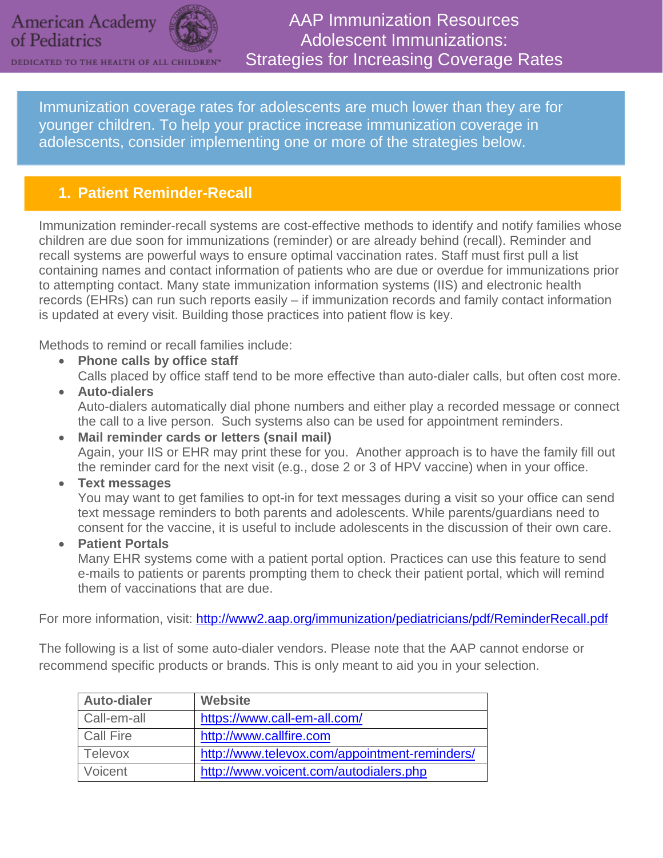

DEDICATED TO THE HEALTH OF ALL CHILDREN®



AAP Immunization Resources Adolescent Immunizations: Strategies for Increasing Coverage Rates

Immunization coverage rates for adolescents are much lower than they are for younger children. To help your practice increase immunization coverage in adolescents, consider implementing one or more of the strategies below.

# **1. Patient Reminder-Recall**

Immunization reminder-recall systems are cost-effective methods to identify and notify families whose children are due soon for immunizations (reminder) or are already behind (recall). Reminder and recall systems are powerful ways to ensure optimal vaccination rates. Staff must first pull a list containing names and contact information of patients who are due or overdue for immunizations prior to attempting contact. Many state immunization information systems (IIS) and electronic health records (EHRs) can run such reports easily – if immunization records and family contact information is updated at every visit. Building those practices into patient flow is key.

Methods to remind or recall families include:

- **Phone calls by office staff** Calls placed by office staff tend to be more effective than auto-dialer calls, but often cost more.
- **Auto-dialers** Auto-dialers automatically dial phone numbers and either play a recorded message or connect the call to a live person. Such systems also can be used for appointment reminders.
- **Mail reminder cards or letters (snail mail)** Again, your IIS or EHR may print these for you. Another approach is to have the family fill out the reminder card for the next visit (e.g., dose 2 or 3 of HPV vaccine) when in your office.
- **Text messages**

You may want to get families to opt-in for text messages during a visit so your office can send text message reminders to both parents and adolescents. While parents/guardians need to consent for the vaccine, it is useful to include adolescents in the discussion of their own care.

• **Patient Portals**

Many EHR systems come with a patient portal option. Practices can use this feature to send e-mails to patients or parents prompting them to check their patient portal, which will remind them of vaccinations that are due.

For more information, visit:<http://www2.aap.org/immunization/pediatricians/pdf/ReminderRecall.pdf>

The following is a list of some auto-dialer vendors. Please note that the AAP cannot endorse or recommend specific products or brands. This is only meant to aid you in your selection.

| <b>Auto-dialer</b> | <b>Website</b>                                |
|--------------------|-----------------------------------------------|
| Call-em-all        | https://www.call-em-all.com/                  |
| Call Fire          | http://www.callfire.com                       |
| Televox            | http://www.televox.com/appointment-reminders/ |
| Voicent            | http://www.voicent.com/autodialers.php        |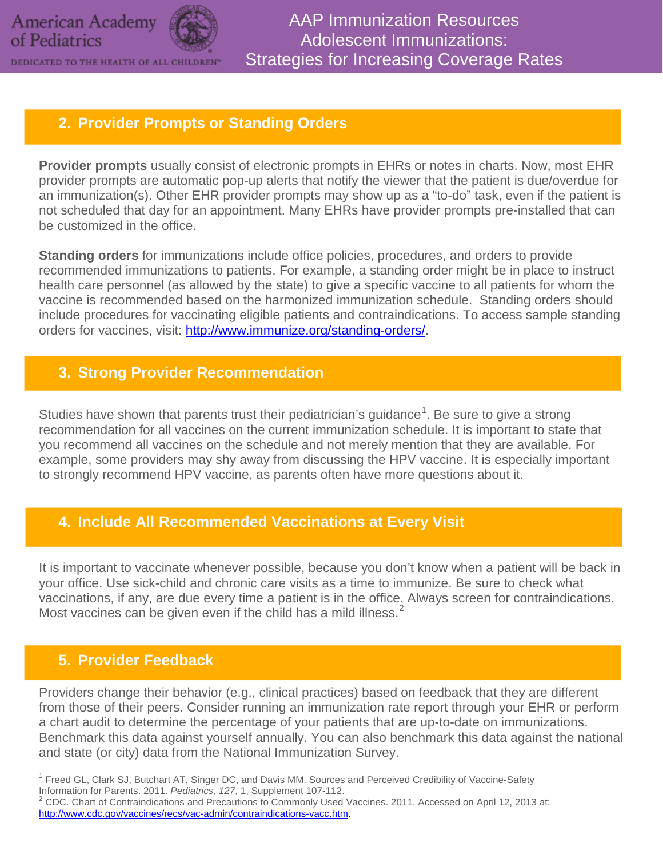

DEDICATED TO THE HEALTH OF ALL CHILDREN®

#### **2. Provider Prompts or Standing Orders**

**Provider prompts** usually consist of electronic prompts in EHRs or notes in charts. Now, most EHR provider prompts are automatic pop-up alerts that notify the viewer that the patient is due/overdue for an immunization(s). Other EHR provider prompts may show up as a "to-do" task, even if the patient is not scheduled that day for an appointment. Many EHRs have provider prompts pre-installed that can be customized in the office.

**Standing orders** for immunizations include office policies, procedures, and orders to provide recommended immunizations to patients. For example, a standing order might be in place to instruct health care personnel (as allowed by the state) to give a specific vaccine to all patients for whom the vaccine is recommended based on the harmonized immunization schedule. Standing orders should include procedures for vaccinating eligible patients and contraindications. To access sample standing orders for vaccines, visit: [http://www.immunize.org/standing-orders/.](http://www.immunize.org/standing-orders/)

### **3. Strong Provider Recommendation**

Studies have shown that parents trust their pediatrician's guidance<sup>[1](#page-1-0)</sup>. Be sure to give a strong recommendation for all vaccines on the current immunization schedule. It is important to state that you recommend all vaccines on the schedule and not merely mention that they are available. For example, some providers may shy away from discussing the HPV vaccine. It is especially important to strongly recommend HPV vaccine, as parents often have more questions about it.

# **4. Include All Recommended Vaccinations at Every Visit**

It is important to vaccinate whenever possible, because you don't know when a patient will be back in your office. Use sick-child and chronic care visits as a time to immunize. Be sure to check what vaccinations, if any, are due every time a patient is in the office. Always screen for contraindications. Most vaccines can be given even if the child has a mild illness.<sup>[2](#page-1-1)</sup>

# **5. Provider Feedback**

Providers change their behavior (e.g., clinical practices) based on feedback that they are different from those of their peers. Consider running an immunization rate report through your EHR or perform a chart audit to determine the percentage of your patients that are up-to-date on immunizations. Benchmark this data against yourself annually. You can also benchmark this data against the national and state (or city) data from the National Immunization Survey.

<span id="page-1-0"></span><sup>&</sup>lt;sup>1</sup> Freed GL, Clark SJ, Butchart AT, Singer DC, and Davis MM. Sources and Perceived Credibility of Vaccine-Safety Information for Parents. 2011. *Pediatrics, 127*, 1, Supplement 107-112.<br><sup>2</sup> CDC. Chart of Contraindications and Precautions to Commonly Used Vaccines. 2011. Accessed on April 12, 2013 at:

<span id="page-1-1"></span>[http://www.cdc.gov/vaccines/recs/vac-admin/contraindications-vacc.htm.](http://www.cdc.gov/vaccines/recs/vac-admin/contraindications-vacc.htm)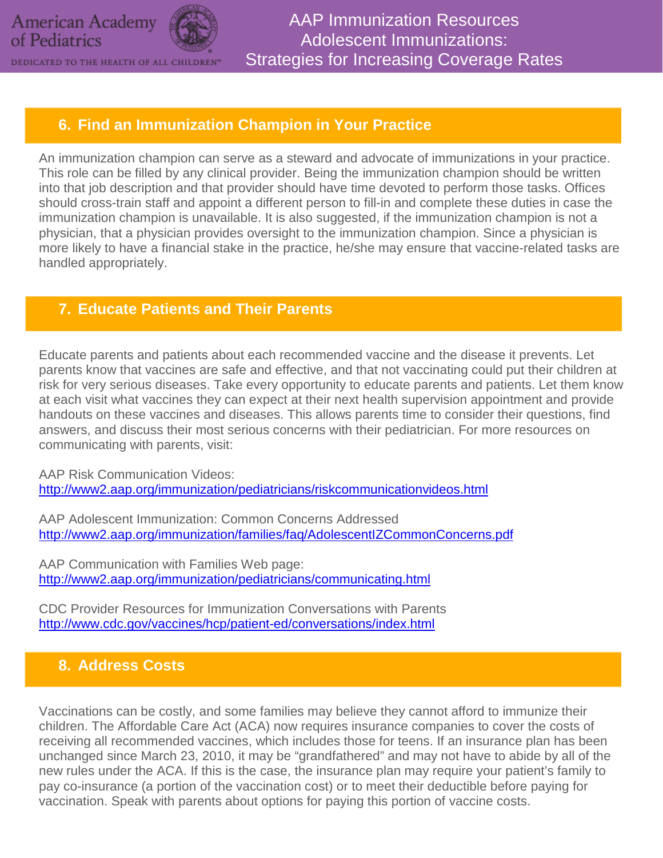**American Academy** of Pediatrics



AAP Immunization Resources Adolescent Immunizations: Strategies for Increasing Coverage Rates

### **6. Find an Immunization Champion in Your Practice**

An immunization champion can serve as a steward and advocate of immunizations in your practice. This role can be filled by any clinical provider. Being the immunization champion should be written into that job description and that provider should have time devoted to perform those tasks. Offices should cross-train staff and appoint a different person to fill-in and complete these duties in case the immunization champion is unavailable. It is also suggested, if the immunization champion is not a physician, that a physician provides oversight to the immunization champion. Since a physician is more likely to have a financial stake in the practice, he/she may ensure that vaccine-related tasks are handled appropriately.

#### **7. Educate Patients and Their Parents**

Educate parents and patients about each recommended vaccine and the disease it prevents. Let parents know that vaccines are safe and effective, and that not vaccinating could put their children at risk for very serious diseases. Take every opportunity to educate parents and patients. Let them know at each visit what vaccines they can expect at their next health supervision appointment and provide handouts on these vaccines and diseases. This allows parents time to consider their questions, find answers, and discuss their most serious concerns with their pediatrician. For more resources on communicating with parents, visit:

AAP Risk Communication Videos: <http://www2.aap.org/immunization/pediatricians/riskcommunicationvideos.html>

AAP Adolescent Immunization: Common Concerns Addressed <http://www2.aap.org/immunization/families/faq/AdolescentIZCommonConcerns.pdf>

AAP Communication with Families Web page: <http://www2.aap.org/immunization/pediatricians/communicating.html>

CDC Provider Resources for Immunization Conversations with Parents <http://www.cdc.gov/vaccines/hcp/patient-ed/conversations/index.html>

# **8. Address Costs**

Vaccinations can be costly, and some families may believe they cannot afford to immunize their children. The Affordable Care Act (ACA) now requires insurance companies to cover the costs of receiving all recommended vaccines, which includes those for teens. If an insurance plan has been unchanged since March 23, 2010, it may be "grandfathered" and may not have to abide by all of the new rules under the ACA. If this is the case, the insurance plan may require your patient's family to pay co-insurance (a portion of the vaccination cost) or to meet their deductible before paying for vaccination. Speak with parents about options for paying this portion of vaccine costs.